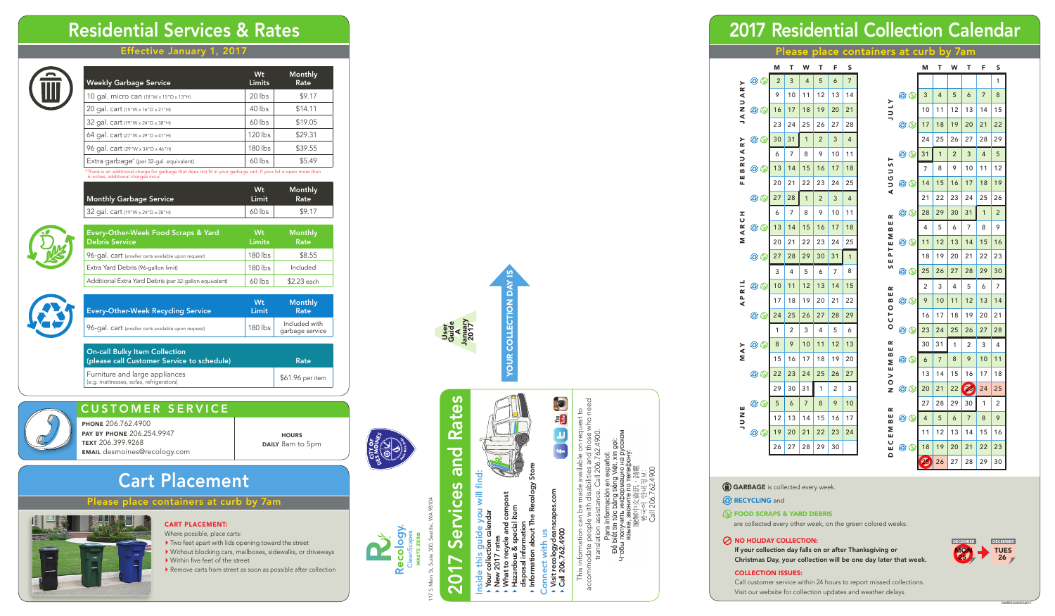# Residential Services & Rates

### Effective January 1, 2017

| Weekly  |
|---------|
| 10 gal. |
| 20 gal. |
|         |

117 S Main St, Suite 300, Seattle, WA 98104

**Recology** 

17 S Main St, Suite 300, Seattle,

# CUSTOMER SERVICE

phone 206.762.4900 pay by phone 206.254.9947 text 206.399.9268 email desmoines@recology.com

**HOURS DAILY** 8am to 5pm



accommodate people with disabilities and those who need This information can be made available on request to  $\overline{5}$ translation assistance. Call 206.762.4900. pdate<br>transla This

- 그<br>이 이 기<br>이 기

- Inside this guide you will find: guide you will find:<br>tion calendar ide this
	- Your collection calendar New 2017 rates
- What to recycle and compost
	-
- and comp<br>acial item Hazardous & special item త
- disposal information<br>Information about The R disposal information
- Information about The Recology Store
	- with us Connect with us ゼ
- Visit recologycleanscapes.com Visit recologyclear<br>Call 206.762.4900 Call 206.762.4900

**CELE** 

- Two feet apart with lids opening toward the street
- Without blocking cars, mailboxes, sidewalks, or driveways ▶ Within five feet of the street
- Remove carts from street as soon as possible after collection

Call 206.762.4900







# 2017 Residential Collection Calendar

### Please place containers at curb by 7am

## CART PLACE MENT:

Where possible, place carts:



ase place containers at curb by 7am



On-call Bulky Item Collection (please call Customer Service to schedule) Rate Furniture and large appliances Furniture and large appliances<br>
(e.g. mattresses, sofas, refrigerators)<br>
(e.g. mattresses, sofas, refrigerators)



| <b>Weekly Garbage Service</b>           | Wt<br><b>Limits</b> | Monthly<br>Rate |
|-----------------------------------------|---------------------|-----------------|
| 10 gal. micro can (18"W x 15"D x 13"H)  | 20 lbs              | \$9.17          |
| 20 gal. cart (15"W x 16"D x 21"H)       | 40 lbs              | \$14.11         |
| 32 gal. cart (19"W x 24"D x 38"H)       | $60$ lbs            | \$19.05         |
| 64 gal. cart (27"W x 29"D x 41"H)       | 120 lbs             | \$29.31         |
| 96 gal. cart (29"W x 34"D x 46"H)       | 180 lbs             | \$39.55         |
| Extra garbage* (per 32-gal. equivalent) | $60$ lbs            | \$5.49          |

# Your collection day is **YOUR COLLECTION D** January 2017 Guide A

\*There is an additional charge for garbage that does not fit in your garbage cart. If your lid is open more than 6 inches, additional charges incur.

| <b>Monthly Garbage Service</b>            | Wt<br>Limit | Monthly<br><b>Rate</b> |
|-------------------------------------------|-------------|------------------------|
| $\vert$ 32 gal. cart (19"W x 24"D x 38"H) | 60 lbs      | \$9.17                 |



| Every-Other-Week Food Scraps & Yard<br><b>Debris Service</b> | Wt<br><b>Limits</b> | <b>Monthly</b><br>Rate |
|--------------------------------------------------------------|---------------------|------------------------|
| 96-gal. cart (smaller carts available upon request)          | $180$ lbs           | \$8.55                 |
| Extra Yard Debris (96-gallon limit)                          | $180$ lbs           | Included               |
| Additional Extra Yard Debris (per 32-gallon equivalent)      | 60 lbs              | \$2.23 each            |



| Every-Other-Week Recycling Service                  | <b>Wt</b><br>Limit | <b>Monthly</b><br>Rate           |
|-----------------------------------------------------|--------------------|----------------------------------|
| 96-gal. cart (smaller carts available upon request) | $180$ lbs          | Included with<br>garbage service |
|                                                     |                    |                                  |
| On call Rulley Hom Colloction                       |                    |                                  |

are collected every other week, on the green colored weeks .

### $\oslash$  NO HOLIDAY COLLECTION:

If your collection day falls on or after Thanksgiving or Christmas Day, your collection will be one day later that week.

#### collection issues:

Call customer service within 24 hours to report missed collections. Visit our website for collection updates and weather delays.



User

# **Rates** 2017 Services and Rates bue Services  $\overline{O}$  $\ddot{\phantom{1}}$

|                               |                                       | М  | Т  | W            | Т  | F  | S            |
|-------------------------------|---------------------------------------|----|----|--------------|----|----|--------------|
| ≻                             | $\bm{\odot}$ $\bm{\odot}$             | 2  | 3  | 4            | 5  | 6  | 7            |
| $\approx$                     |                                       | 9  | 10 | 11           | 12 | 13 | 14           |
| くつこ                           | $\bm{\odot}$ $\odot$                  | 16 | 17 | 18           | 19 | 20 | 21           |
| $\leq$                        |                                       | 23 | 24 | 25           | 26 | 27 | 28           |
| ≻<br>$\sim$                   | $\bm{\mathfrak{S}}$ ( )               | 30 | 31 | $\mathbf{1}$ | 2  | 3  | 4            |
| ⋖<br>$\overline{\phantom{0}}$ |                                       | 6  | 7  | 8            | 9  | 10 | 11           |
| œ<br>m                        | $\bm{\mathfrak{S}}$ $\circledast$     | 13 | 14 | 15           | 16 | 17 | 18           |
| Ш<br>щ                        |                                       | 20 | 21 | 22           | 23 | 24 | 25           |
|                               | $\bm{\odot}$ $\bm{\odot}$             | 27 | 28 | $\mathbf{1}$ | 2  | 3  | 4            |
|                               |                                       | 6  | 7  | 8            | 9  | 10 | 11           |
| ARCH                          | $\bm{\odot}$ $\odot$                  | 13 | 14 | 15           | 16 | 17 | 18           |
| Σ                             |                                       | 20 | 21 | 22           | 23 | 24 | 25           |
|                               | $\bm{\mathfrak{S}}$ ( )               | 27 | 28 | 29           | 30 | 31 | $\mathbf{1}$ |
|                               |                                       | 3  | 4  | 5            | 6  | 7  | 8            |
| $\overline{\mathbf{z}}$       | $\bm{\bm{\omega}}$ $\bm{\bm{\omega}}$ | 10 | 11 | 12           | 13 | 14 | 15           |
| 으<br>식                        |                                       | 17 | 18 | 19           | 20 | 21 | 22           |
|                               | $\bm{\mathfrak{S}}$ ( )               | 24 | 25 | 26           | 27 | 28 | 29           |
|                               |                                       | 1  | 2  | 3            | 4  | 5  | 6            |
| ⋗<br>⋖                        | $\bm{\mathfrak{S}}$ ( )               | 8  | 9  | 10           | 11 | 12 | 13           |
| Σ                             |                                       | 15 | 16 | 17           | 18 | 19 | 20           |
|                               | $\bm{\mathfrak{S}}$ ( )               | 22 | 23 | 24           | 25 | 26 | 27           |
|                               |                                       | 29 | 30 | 31           | 1  | 2  | 3            |
| Щ                             | © ©                                   | 5  | 6  | 7            | 8  | 9  | 10           |
| NUV                           |                                       | 12 | 13 | 14           | 15 | 16 | 17           |
|                               | $\bm{\odot}$ $\bm{\odot}$             | 19 | 20 | 21           | 22 | 23 | 24           |
|                               |                                       | 26 | 27 | 28           | 29 | 30 |              |

|              |                                   | М  | т  | W              | т  | F  | S  |
|--------------|-----------------------------------|----|----|----------------|----|----|----|
|              |                                   |    |    |                |    |    | 1  |
|              | $\bm{\odot}$ $\bm{\odot}$         | 3  | 4  | 5              | 6  | 7  | 8  |
| <b>ATNT</b>  |                                   | 10 | 11 | 12             | 13 | 14 | 15 |
|              | $\bm{\odot}$ $\odot$              | 17 | 18 | 19             | 20 | 21 | 22 |
|              |                                   | 24 | 25 | 26             | 27 | 28 | 29 |
| ۳            | $\bm{\odot}$ $\odot$              | 31 | 1  | $\overline{c}$ | 3  | 4  | 5  |
|              |                                   | 7  | 8  | 9              | 10 | 11 | 12 |
| <b>AUGUS</b> | $\bm{\mathfrak{S}}$ (             | 14 | 15 | 16             | 17 | 18 | 19 |
|              |                                   | 21 | 22 | 23             | 24 | 25 | 26 |
| ≃            | C) (V                             | 28 | 29 | 30             | 31 | 1  | 2  |
| ш<br>≃       |                                   | 4  | 5  | 6              | 7  | 8  | 9  |
| Σ<br>ш<br>н  | $\circledcirc$                    | 11 | 12 | 13             | 14 | 15 | 16 |
| Δ.<br>ш      |                                   | 18 | 19 | 20             | 21 | 22 | 23 |
| S            | $\bm{\odot}$ $\odot$              | 25 | 26 | 27             | 28 | 29 | 30 |
| ≃            |                                   | 2  | 3  | 4              | 5  | 6  | 7  |
| ш<br>m       | $\bm{\mathfrak{S}}$ $\circledast$ | 9  | 10 | 11             | 12 | 13 | 14 |
| O 10         |                                   | 16 | 17 | 18             | 19 | 20 | 21 |
|              | $\circledcirc$                    | 23 | 24 | 25             | 26 | 27 | 28 |
| œ<br>ш       |                                   | 30 | 31 | 1              | 2  | 3  | 4  |
| m<br>Σ       | کھا (ت                            | 6  | 7  | 8              | 9  | 10 | 11 |
| ш<br>>       |                                   | 13 | 14 | 15             | 16 | 17 | 18 |
| O<br>ż       | $\bm{\mathfrak{S}}$ ( )           | 20 | 21 | 22             | 23 | 24 | 25 |
| œ            |                                   | 27 | 28 | 29             | 30 | 1  | 2  |
| ш<br>m       | $\bm{\odot}$ $\odot$              | 4  | 5  | 6              | 7  | 8  | 9  |
| Σ<br>ш       |                                   | 11 | 12 | 13             | 14 | 15 | 16 |
| ပ<br>ш<br>Δ  | $\circledcirc$                    | 18 | 19 | 20             | 21 | 22 | 23 |
|              |                                   | 23 | 26 | 27             | 28 | 29 | 30 |

GARBAGE is collected every week.

#### **B** RECYCLING and

#### **FOOD SCRAPS & YARD DEBRIS**